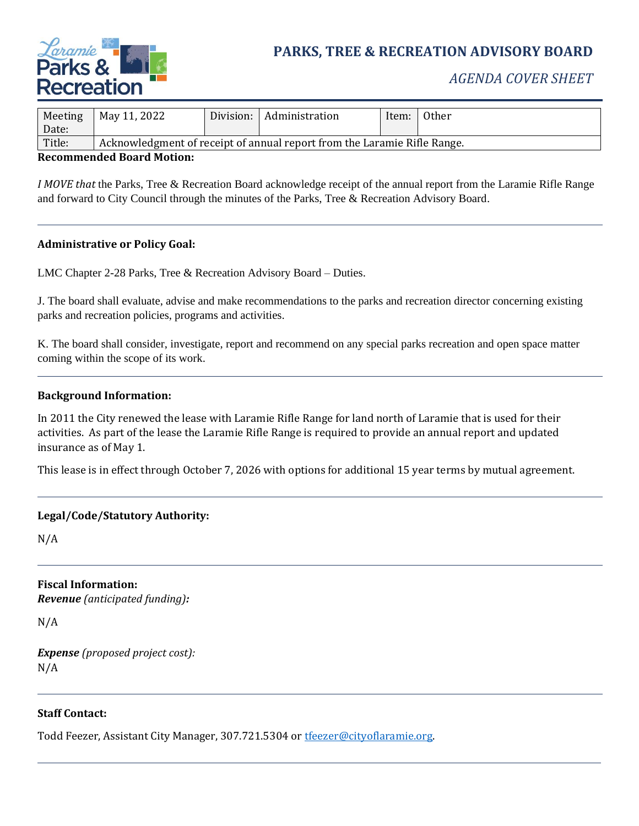

# **PARKS, TREE & RECREATION ADVISORY BOARD**

## *AGENDA COVER SHEET*

| Meeting    | May 11, 2022                                                             | Division: | Administration | Item: | 0ther |
|------------|--------------------------------------------------------------------------|-----------|----------------|-------|-------|
| Date:      |                                                                          |           |                |       |       |
| Title:     | Acknowledgment of receipt of annual report from the Laramie Rifle Range. |           |                |       |       |
| $\sqrt{2}$ | .                                                                        |           |                |       |       |

#### **Recommended Board Motion:**

*I MOVE that* the Parks, Tree & Recreation Board acknowledge receipt of the annual report from the Laramie Rifle Range and forward to City Council through the minutes of the Parks, Tree & Recreation Advisory Board.

#### **Administrative or Policy Goal:**

LMC Chapter 2-28 Parks, Tree & Recreation Advisory Board – Duties.

J. The board shall evaluate, advise and make recommendations to the parks and recreation director concerning existing parks and recreation policies, programs and activities.

K. The board shall consider, investigate, report and recommend on any special parks recreation and open space matter coming within the scope of its work.

#### **Background Information:**

In 2011 the City renewed the lease with Laramie Rifle Range for land north of Laramie that is used for their activities. As part of the lease the Laramie Rifle Range is required to provide an annual report and updated insurance as of May 1.

This lease is in effect through October 7, 2026 with options for additional 15 year terms by mutual agreement.

#### **Legal/Code/Statutory Authority:**

N/A

**Fiscal Information:** *Revenue (anticipated funding):*

N/A

*Expense (proposed project cost):* N/A

#### **Staff Contact:**

Todd Feezer, Assistant City Manager, 307.721.5304 or [tfeezer@cityoflaramie.org.](mailto:tfeezer@cityoflaramie.org)